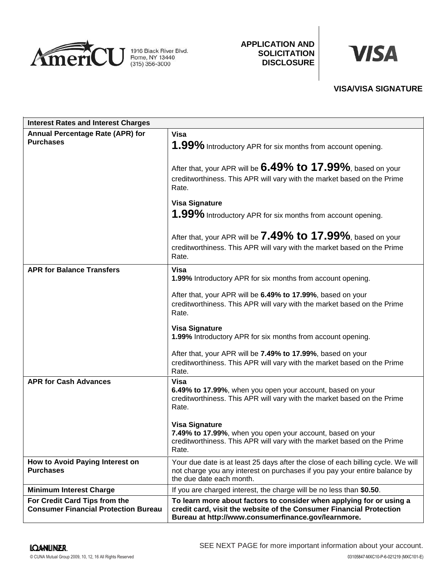

## **APPLICATION AND SOLICITATION DISCLOSURE**



# **VISA/VISA SIGNATURE**

| <b>Interest Rates and Interest Charges</b>                                   |                                                                                                                                                                                                    |
|------------------------------------------------------------------------------|----------------------------------------------------------------------------------------------------------------------------------------------------------------------------------------------------|
| Annual Percentage Rate (APR) for<br><b>Purchases</b>                         | Visa<br>1.99% Introductory APR for six months from account opening.                                                                                                                                |
|                                                                              | After that, your APR will be $6.49\%$ to $17.99\%$ , based on your<br>creditworthiness. This APR will vary with the market based on the Prime<br>Rate.                                             |
|                                                                              | <b>Visa Signature</b><br>1.99% Introductory APR for six months from account opening.                                                                                                               |
|                                                                              | After that, your APR will be 7.49% to 17.99%, based on your<br>creditworthiness. This APR will vary with the market based on the Prime<br>Rate.                                                    |
| <b>APR for Balance Transfers</b>                                             | <b>Visa</b><br>1.99% Introductory APR for six months from account opening.                                                                                                                         |
|                                                                              | After that, your APR will be 6.49% to 17.99%, based on your<br>creditworthiness. This APR will vary with the market based on the Prime<br>Rate.                                                    |
|                                                                              | <b>Visa Signature</b><br>1.99% Introductory APR for six months from account opening.                                                                                                               |
|                                                                              | After that, your APR will be 7.49% to 17.99%, based on your<br>creditworthiness. This APR will vary with the market based on the Prime<br>Rate.                                                    |
| <b>APR for Cash Advances</b>                                                 | <b>Visa</b><br>6.49% to 17.99%, when you open your account, based on your<br>creditworthiness. This APR will vary with the market based on the Prime<br>Rate.                                      |
|                                                                              | <b>Visa Signature</b><br>7.49% to 17.99%, when you open your account, based on your<br>creditworthiness. This APR will vary with the market based on the Prime<br>Rate.                            |
| How to Avoid Paying Interest on<br><b>Purchases</b>                          | Your due date is at least 25 days after the close of each billing cycle. We will<br>not charge you any interest on purchases if you pay your entire balance by<br>the due date each month.         |
| <b>Minimum Interest Charge</b>                                               | If you are charged interest, the charge will be no less than \$0.50.                                                                                                                               |
| For Credit Card Tips from the<br><b>Consumer Financial Protection Bureau</b> | To learn more about factors to consider when applying for or using a<br>credit card, visit the website of the Consumer Financial Protection<br>Bureau at http://www.consumerfinance.gov/learnmore. |